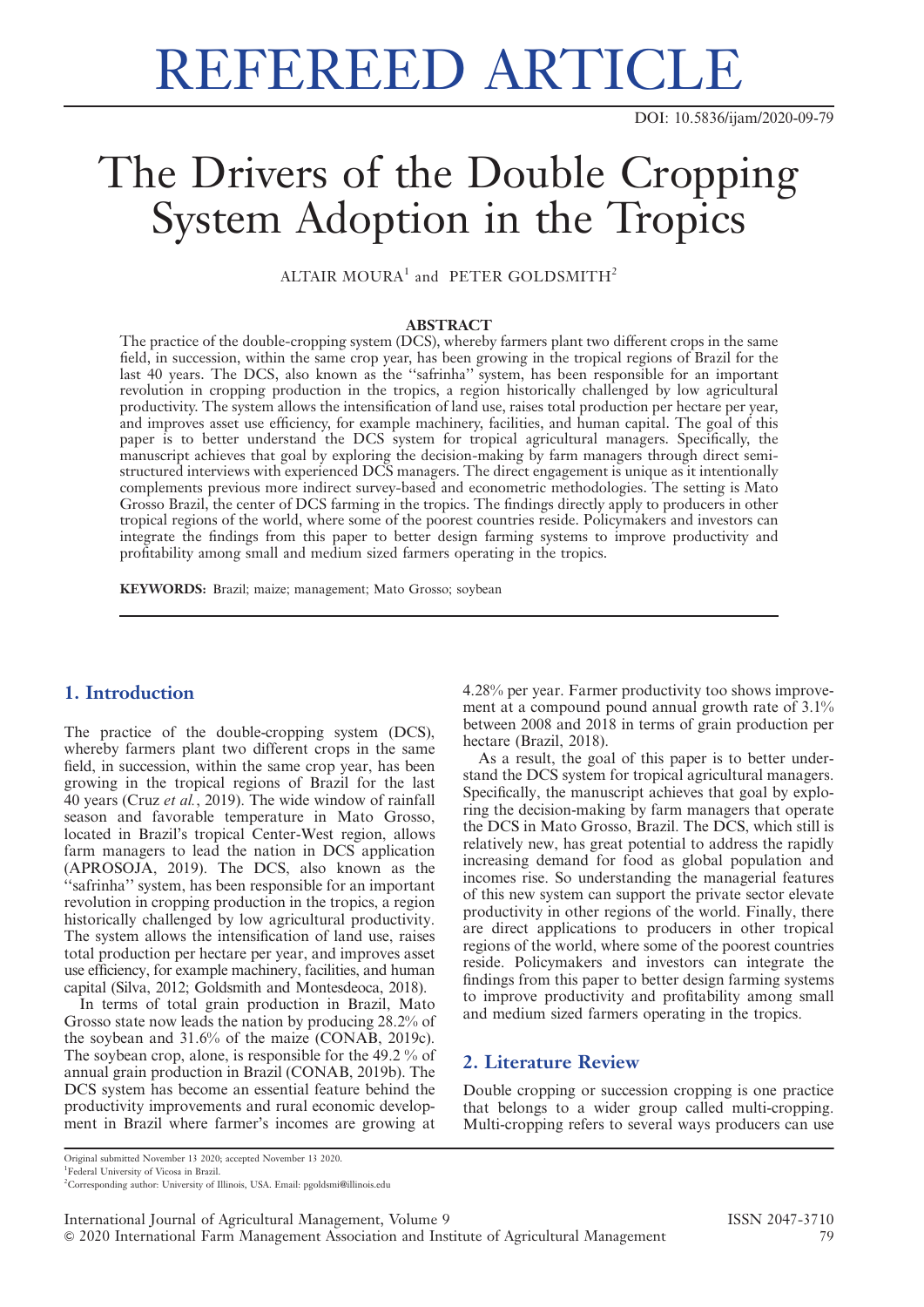# REFEREED ARTICLE

DOI: 10.5836/ijam/2020-09-79

# The Drivers of the Double Cropping System Adoption in the Tropics

ALTAIR MOURA<sup>1</sup> and PETER GOLDSMITH<sup>2</sup>

#### ABSTRACT

The practice of the double-cropping system (DCS), whereby farmers plant two different crops in the same field, in succession, within the same crop year, has been growing in the tropical regions of Brazil for the last 40 years. The DCS, also known as the ''safrinha'' system, has been responsible for an important revolution in cropping production in the tropics, a region historically challenged by low agricultural productivity. The system allows the intensification of land use, raises total production per hectare per year, and improves asset use efficiency, for example machinery, facilities, and human capital. The goal of this paper is to better understand the DCS system for tropical agricultural managers. Specifically, the manuscript achieves that goal by exploring the decision-making by farm managers through direct semistructured interviews with experienced DCS managers. The direct engagement is unique as it intentionally complements previous more indirect survey-based and econometric methodologies. The setting is Mato Grosso Brazil, the center of DCS farming in the tropics. The findings directly apply to producers in other tropical regions of the world, where some of the poorest countries reside. Policymakers and investors can integrate the findings from this paper to better design farming systems to improve productivity and profitability among small and medium sized farmers operating in the tropics.

KEYWORDS: Brazil; maize; management; Mato Grosso; soybean

# 1. Introduction

The practice of the double-cropping system (DCS), whereby farmers plant two different crops in the same field, in succession, within the same crop year, has been growing in the tropical regions of Brazil for the last 40 years (Cruz et al., 2019). The wide window of rainfall season and favorable temperature in Mato Grosso, located in Brazil's tropical Center-West region, allows farm managers to lead the nation in DCS application (APROSOJA, 2019). The DCS, also known as the ''safrinha'' system, has been responsible for an important revolution in cropping production in the tropics, a region historically challenged by low agricultural productivity. The system allows the intensification of land use, raises total production per hectare per year, and improves asset use efficiency, for example machinery, facilities, and human capital (Silva, 2012; Goldsmith and Montesdeoca, 2018).

In terms of total grain production in Brazil, Mato Grosso state now leads the nation by producing 28.2% of the soybean and 31.6% of the maize (CONAB, 2019c). The soybean crop, alone, is responsible for the 49.2 % of annual grain production in Brazil (CONAB, 2019b). The DCS system has become an essential feature behind the productivity improvements and rural economic development in Brazil where farmer's incomes are growing at 4.28% per year. Farmer productivity too shows improvement at a compound pound annual growth rate of 3.1% between 2008 and 2018 in terms of grain production per hectare (Brazil, 2018).

As a result, the goal of this paper is to better understand the DCS system for tropical agricultural managers. Specifically, the manuscript achieves that goal by exploring the decision-making by farm managers that operate the DCS in Mato Grosso, Brazil. The DCS, which still is relatively new, has great potential to address the rapidly increasing demand for food as global population and incomes rise. So understanding the managerial features of this new system can support the private sector elevate productivity in other regions of the world. Finally, there are direct applications to producers in other tropical regions of the world, where some of the poorest countries reside. Policymakers and investors can integrate the findings from this paper to better design farming systems to improve productivity and profitability among small and medium sized farmers operating in the tropics.

## 2. Literature Review

Double cropping or succession cropping is one practice that belongs to a wider group called multi-cropping. Multi-cropping refers to several ways producers can use

Original submitted November 13 2020; accepted November 13 2020.

<sup>1</sup> Federal University of Vicosa in Brazil.

<sup>2</sup> Corresponding author: University of Illinois, USA. Email: pgoldsmi@illinois.edu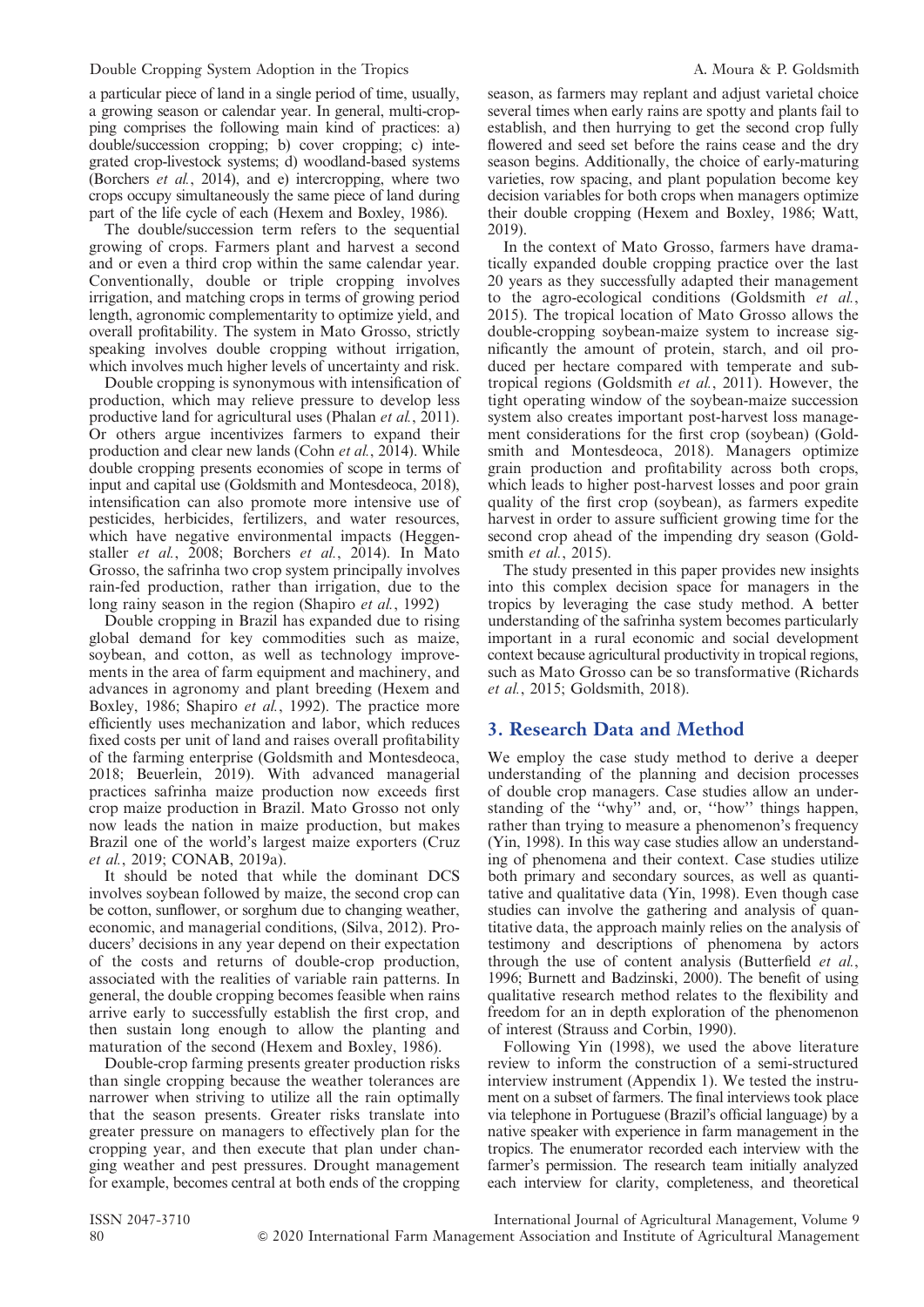a particular piece of land in a single period of time, usually, a growing season or calendar year. In general, multi-cropping comprises the following main kind of practices: a) double/succession cropping; b) cover cropping; c) integrated crop-livestock systems; d) woodland-based systems (Borchers et al., 2014), and e) intercropping, where two crops occupy simultaneously the same piece of land during part of the life cycle of each (Hexem and Boxley, 1986).

The double/succession term refers to the sequential growing of crops. Farmers plant and harvest a second and or even a third crop within the same calendar year. Conventionally, double or triple cropping involves irrigation, and matching crops in terms of growing period length, agronomic complementarity to optimize yield, and overall profitability. The system in Mato Grosso, strictly speaking involves double cropping without irrigation, which involves much higher levels of uncertainty and risk.

Double cropping is synonymous with intensification of production, which may relieve pressure to develop less productive land for agricultural uses (Phalan et al., 2011). Or others argue incentivizes farmers to expand their production and clear new lands (Cohn et al., 2014). While double cropping presents economies of scope in terms of input and capital use (Goldsmith and Montesdeoca, 2018), intensification can also promote more intensive use of pesticides, herbicides, fertilizers, and water resources, which have negative environmental impacts (Heggenstaller et al., 2008; Borchers et al., 2014). In Mato Grosso, the safrinha two crop system principally involves rain-fed production, rather than irrigation, due to the long rainy season in the region (Shapiro *et al.*, 1992)

Double cropping in Brazil has expanded due to rising global demand for key commodities such as maize, soybean, and cotton, as well as technology improvements in the area of farm equipment and machinery, and advances in agronomy and plant breeding (Hexem and Boxley, 1986; Shapiro et al., 1992). The practice more efficiently uses mechanization and labor, which reduces fixed costs per unit of land and raises overall profitability of the farming enterprise (Goldsmith and Montesdeoca, 2018; Beuerlein, 2019). With advanced managerial practices safrinha maize production now exceeds first crop maize production in Brazil. Mato Grosso not only now leads the nation in maize production, but makes Brazil one of the world's largest maize exporters (Cruz et al., 2019; CONAB, 2019a).

It should be noted that while the dominant DCS involves soybean followed by maize, the second crop can be cotton, sunflower, or sorghum due to changing weather, economic, and managerial conditions, (Silva, 2012). Producers' decisions in any year depend on their expectation of the costs and returns of double-crop production, associated with the realities of variable rain patterns. In general, the double cropping becomes feasible when rains arrive early to successfully establish the first crop, and then sustain long enough to allow the planting and maturation of the second (Hexem and Boxley, 1986).

Double-crop farming presents greater production risks than single cropping because the weather tolerances are narrower when striving to utilize all the rain optimally that the season presents. Greater risks translate into greater pressure on managers to effectively plan for the cropping year, and then execute that plan under changing weather and pest pressures. Drought management for example, becomes central at both ends of the cropping season, as farmers may replant and adjust varietal choice several times when early rains are spotty and plants fail to establish, and then hurrying to get the second crop fully flowered and seed set before the rains cease and the dry season begins. Additionally, the choice of early-maturing varieties, row spacing, and plant population become key decision variables for both crops when managers optimize their double cropping (Hexem and Boxley, 1986; Watt, 2019).

In the context of Mato Grosso, farmers have dramatically expanded double cropping practice over the last 20 years as they successfully adapted their management to the agro-ecological conditions (Goldsmith et al., 2015). The tropical location of Mato Grosso allows the double-cropping soybean-maize system to increase significantly the amount of protein, starch, and oil produced per hectare compared with temperate and subtropical regions (Goldsmith et al., 2011). However, the tight operating window of the soybean-maize succession system also creates important post-harvest loss management considerations for the first crop (soybean) (Goldsmith and Montesdeoca, 2018). Managers optimize grain production and profitability across both crops, which leads to higher post-harvest losses and poor grain quality of the first crop (soybean), as farmers expedite harvest in order to assure sufficient growing time for the second crop ahead of the impending dry season (Goldsmith et al., 2015).

The study presented in this paper provides new insights into this complex decision space for managers in the tropics by leveraging the case study method. A better understanding of the safrinha system becomes particularly important in a rural economic and social development context because agricultural productivity in tropical regions, such as Mato Grosso can be so transformative (Richards et al., 2015; Goldsmith, 2018).

# 3. Research Data and Method

We employ the case study method to derive a deeper understanding of the planning and decision processes of double crop managers. Case studies allow an understanding of the ''why'' and, or, ''how'' things happen, rather than trying to measure a phenomenon's frequency (Yin, 1998). In this way case studies allow an understanding of phenomena and their context. Case studies utilize both primary and secondary sources, as well as quantitative and qualitative data (Yin, 1998). Even though case studies can involve the gathering and analysis of quantitative data, the approach mainly relies on the analysis of testimony and descriptions of phenomena by actors through the use of content analysis (Butterfield *et al.*, 1996; Burnett and Badzinski, 2000). The benefit of using qualitative research method relates to the flexibility and freedom for an in depth exploration of the phenomenon of interest (Strauss and Corbin, 1990).

Following Yin (1998), we used the above literature review to inform the construction of a semi-structured interview instrument (Appendix 1). We tested the instrument on a subset of farmers. The final interviews took place via telephone in Portuguese (Brazil's official language) by a native speaker with experience in farm management in the tropics. The enumerator recorded each interview with the farmer's permission. The research team initially analyzed each interview for clarity, completeness, and theoretical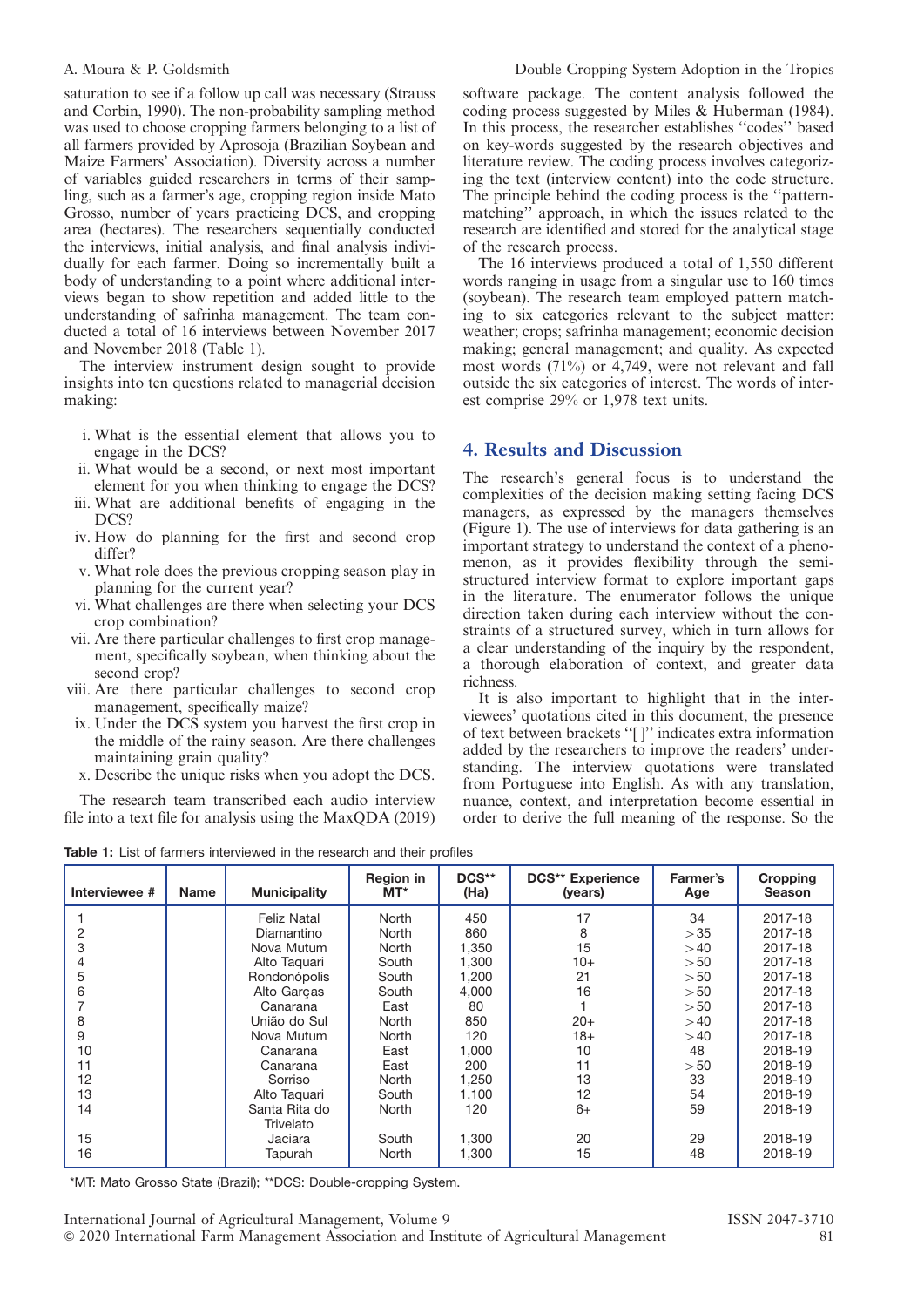saturation to see if a follow up call was necessary (Strauss and Corbin, 1990). The non-probability sampling method was used to choose cropping farmers belonging to a list of all farmers provided by Aprosoja (Brazilian Soybean and Maize Farmers' Association). Diversity across a number of variables guided researchers in terms of their sampling, such as a farmer's age, cropping region inside Mato Grosso, number of years practicing DCS, and cropping area (hectares). The researchers sequentially conducted the interviews, initial analysis, and final analysis individually for each farmer. Doing so incrementally built a body of understanding to a point where additional interviews began to show repetition and added little to the understanding of safrinha management. The team conducted a total of 16 interviews between November 2017 and November 2018 (Table 1).

The interview instrument design sought to provide insights into ten questions related to managerial decision making:

- i. What is the essential element that allows you to engage in the DCS?
- ii. What would be a second, or next most important element for you when thinking to engage the DCS?
- iii. What are additional benefits of engaging in the DCS?
- iv. How do planning for the first and second crop differ?
- v. What role does the previous cropping season play in planning for the current year?
- vi. What challenges are there when selecting your DCS crop combination?
- vii. Are there particular challenges to first crop management, specifically soybean, when thinking about the second crop?
- viii. Are there particular challenges to second crop management, specifically maize?
- ix. Under the DCS system you harvest the first crop in the middle of the rainy season. Are there challenges maintaining grain quality?
- x. Describe the unique risks when you adopt the DCS.

The research team transcribed each audio interview file into a text file for analysis using the MaxQDA (2019) software package. The content analysis followed the coding process suggested by Miles & Huberman (1984). In this process, the researcher establishes ''codes'' based on key-words suggested by the research objectives and literature review. The coding process involves categorizing the text (interview content) into the code structure. The principle behind the coding process is the ''patternmatching'' approach, in which the issues related to the research are identified and stored for the analytical stage of the research process.

The 16 interviews produced a total of 1,550 different words ranging in usage from a singular use to 160 times (soybean). The research team employed pattern matching to six categories relevant to the subject matter: weather; crops; safrinha management; economic decision making; general management; and quality. As expected most words (71%) or 4,749, were not relevant and fall outside the six categories of interest. The words of interest comprise 29% or 1,978 text units.

## 4. Results and Discussion

The research's general focus is to understand the complexities of the decision making setting facing DCS managers, as expressed by the managers themselves (Figure 1). The use of interviews for data gathering is an important strategy to understand the context of a phenomenon, as it provides flexibility through the semistructured interview format to explore important gaps in the literature. The enumerator follows the unique direction taken during each interview without the constraints of a structured survey, which in turn allows for a clear understanding of the inquiry by the respondent, a thorough elaboration of context, and greater data richness.

It is also important to highlight that in the interviewees' quotations cited in this document, the presence of text between brackets ''[ ]'' indicates extra information added by the researchers to improve the readers' understanding. The interview quotations were translated from Portuguese into English. As with any translation, nuance, context, and interpretation become essential in order to derive the full meaning of the response. So the

| Interviewee # | <b>Name</b> | <b>Municipality</b> | <b>Region in</b><br>$MT^*$ | DCS**<br>(Ha) | <b>DCS** Experience</b><br>(years) | Farmer's<br>Age | Cropping<br><b>Season</b> |
|---------------|-------------|---------------------|----------------------------|---------------|------------------------------------|-----------------|---------------------------|
|               |             | <b>Feliz Natal</b>  | North                      | 450           | 17                                 | 34              | 2017-18                   |
| 2             |             | Diamantino          | North                      | 860           | 8                                  | >35             | 2017-18                   |
| 3             |             | Nova Mutum          | North                      | 1,350         | 15                                 | >40             | 2017-18                   |
| 4             |             | Alto Taquari        | South                      | 1.300         | $10+$                              | >50             | 2017-18                   |
| 5             |             | Rondonópolis        | South                      | 1,200         | 21                                 | >50             | 2017-18                   |
| 6             |             | Alto Garças         | South                      | 4,000         | 16                                 | >50             | 2017-18                   |
|               |             | Canarana            | East                       | 80            |                                    | >50             | 2017-18                   |
| 8             |             | União do Sul        | North                      | 850           | $20+$                              | >40             | 2017-18                   |
| 9             |             | Nova Mutum          | North                      | 120           | $18+$                              | >40             | 2017-18                   |
| 10            |             | Canarana            | East                       | 1,000         | 10                                 | 48              | 2018-19                   |
| 11            |             | Canarana            | East                       | 200           | 11                                 | > 50            | 2018-19                   |
| 12            |             | Sorriso             | North                      | 1,250         | 13                                 | 33              | 2018-19                   |
| 13            |             | Alto Taquari        | South                      | 1.100         | 12                                 | 54              | 2018-19                   |
| 14            |             | Santa Rita do       | North                      | 120           | $6+$                               | 59              | 2018-19                   |
|               |             | Trivelato           |                            |               |                                    |                 |                           |
| 15            |             | Jaciara             | South                      | 1,300         | 20                                 | 29              | 2018-19                   |
| 16            |             | Tapurah             | North                      | 1,300         | 15                                 | 48              | 2018-19                   |

Table 1: List of farmers interviewed in the research and their profiles

\*MT: Mato Grosso State (Brazil); \*\*DCS: Double-cropping System.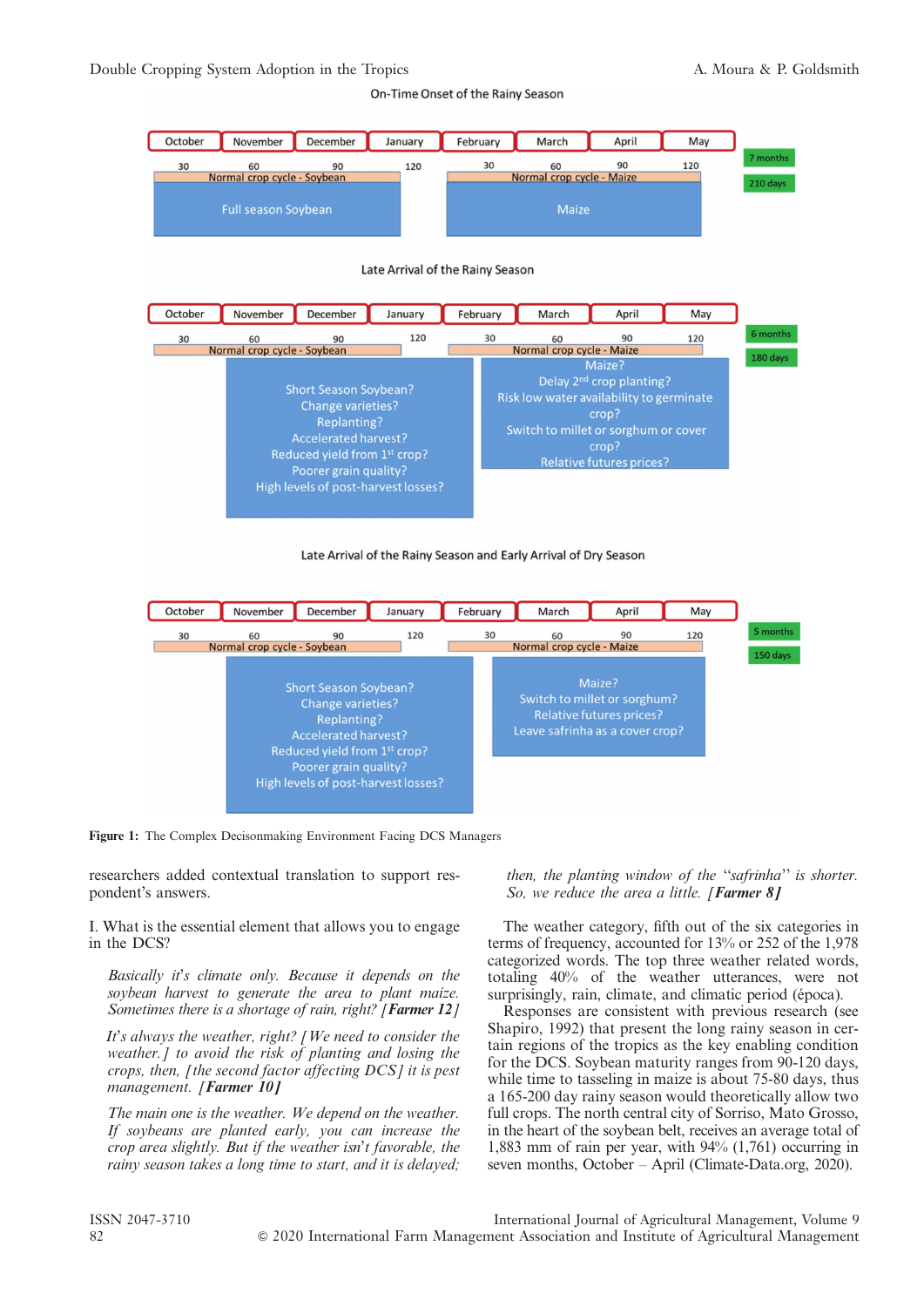On-Time Onset of the Rainy Season



Late Arrival of the Rainy Season



### Late Arrival of the Rainy Season and Early Arrival of Dry Season



Figure 1: The Complex Decisonmaking Environment Facing DCS Managers

researchers added contextual translation to support respondent's answers.

I. What is the essential element that allows you to engage in the DCS?

Basically it's climate only. Because it depends on the soybean harvest to generate the area to plant maize. Sometimes there is a shortage of rain, right? [Farmer 12]

It's always the weather, right? [We need to consider the weather.] to avoid the risk of planting and losing the crops, then, [the second factor affecting DCS] it is pest management. [Farmer 10]

The main one is the weather. We depend on the weather. If soybeans are planted early, you can increase the crop area slightly. But if the weather isn't favorable, the rainy season takes a long time to start, and it is delayed;

then, the planting window of the ''safrinha'' is shorter. So, we reduce the area a little. [Farmer  $8$ ]

The weather category, fifth out of the six categories in terms of frequency, accounted for 13% or 252 of the 1,978 categorized words. The top three weather related words, totaling 40% of the weather utterances, were not surprisingly, rain, climate, and climatic period (época).

Responses are consistent with previous research (see Shapiro, 1992) that present the long rainy season in certain regions of the tropics as the key enabling condition for the DCS. Soybean maturity ranges from 90-120 days, while time to tasseling in maize is about 75-80 days, thus a 165-200 day rainy season would theoretically allow two full crops. The north central city of Sorriso, Mato Grosso, in the heart of the soybean belt, receives an average total of 1,883 mm of rain per year, with 94% (1,761) occurring in seven months, October – April (Climate-Data.org, 2020).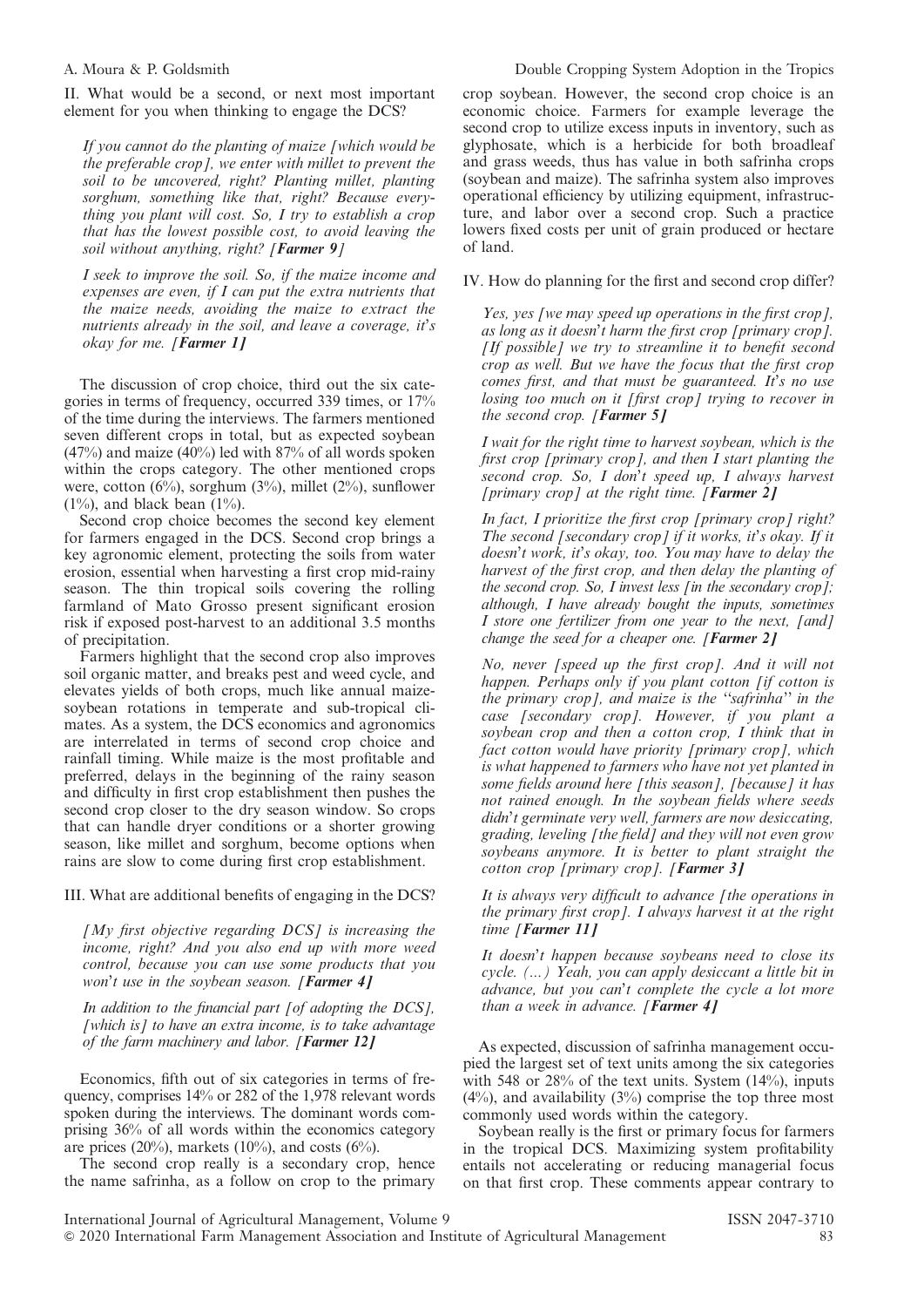II. What would be a second, or next most important element for you when thinking to engage the DCS?

If you cannot do the planting of maize [which would be the preferable crop], we enter with millet to prevent the soil to be uncovered, right? Planting millet, planting sorghum, something like that, right? Because everything you plant will cost. So, I try to establish a crop that has the lowest possible cost, to avoid leaving the soil without anything, right? [Farmer 9]

I seek to improve the soil. So, if the maize income and expenses are even, if I can put the extra nutrients that the maize needs, avoiding the maize to extract the nutrients already in the soil, and leave a coverage, it's okay for me. [Farmer 1]

The discussion of crop choice, third out the six categories in terms of frequency, occurred 339 times, or 17% of the time during the interviews. The farmers mentioned seven different crops in total, but as expected soybean  $(47%)$  and maize  $(40%)$  led with 87% of all words spoken within the crops category. The other mentioned crops were, cotton  $(6\%)$ , sorghum  $(3\%)$ , millet  $(2\%)$ , sunflower  $(1\%)$ , and black bean  $(1\%)$ .

Second crop choice becomes the second key element for farmers engaged in the DCS. Second crop brings a key agronomic element, protecting the soils from water erosion, essential when harvesting a first crop mid-rainy season. The thin tropical soils covering the rolling farmland of Mato Grosso present significant erosion risk if exposed post-harvest to an additional 3.5 months of precipitation.

Farmers highlight that the second crop also improves soil organic matter, and breaks pest and weed cycle, and elevates yields of both crops, much like annual maizesoybean rotations in temperate and sub-tropical climates. As a system, the DCS economics and agronomics are interrelated in terms of second crop choice and rainfall timing. While maize is the most profitable and preferred, delays in the beginning of the rainy season and difficulty in first crop establishment then pushes the second crop closer to the dry season window. So crops that can handle dryer conditions or a shorter growing season, like millet and sorghum, become options when rains are slow to come during first crop establishment.

### III. What are additional benefits of engaging in the DCS?

 $\int M y$  first objective regarding DCS] is increasing the income, right? And you also end up with more weed control, because you can use some products that you won't use in the soybean season. [Farmer  $4$ ]

In addition to the financial part [of adopting the DCS],  $[which is] to have an extra income, is to take advantage$ of the farm machinery and labor. [Farmer  $12$ ]

Economics, fifth out of six categories in terms of frequency, comprises 14% or 282 of the 1,978 relevant words spoken during the interviews. The dominant words comprising 36% of all words within the economics category are prices (20%), markets (10%), and costs (6%).

The second crop really is a secondary crop, hence the name safrinha, as a follow on crop to the primary

crop soybean. However, the second crop choice is an economic choice. Farmers for example leverage the second crop to utilize excess inputs in inventory, such as glyphosate, which is a herbicide for both broadleaf and grass weeds, thus has value in both safrinha crops (soybean and maize). The safrinha system also improves operational efficiency by utilizing equipment, infrastructure, and labor over a second crop. Such a practice lowers fixed costs per unit of grain produced or hectare of land.

IV. How do planning for the first and second crop differ?

Yes, yes [we may speed up operations in the first crop], as long as it doesn't harm the first crop [primary crop]. [If possible] we try to streamline it to benefit second crop as well. But we have the focus that the first crop comes first, and that must be guaranteed. It's no use losing too much on it [first crop] trying to recover in the second crop. [Farmer 5]

I wait for the right time to harvest soybean, which is the first crop [primary crop], and then I start planting the second crop. So, I don't speed up, I always harvest [primary crop] at the right time.  $[Farmer 2]$ 

In fact, I prioritize the first crop [primary crop] right? The second [secondary crop] if it works, it's okay. If it doesn't work, it's okay, too. You may have to delay the harvest of the first crop, and then delay the planting of the second crop. So, I invest less  $\int$  *in the secondary crop*  $\int$ *;* although, I have already bought the inputs, sometimes I store one fertilizer from one year to the next, [and] change the seed for a cheaper one.  $[Farmer 2]$ 

No, never [speed up the first crop]. And it will not happen. Perhaps only if you plant cotton [if cotton is the primary crop], and maize is the ''safrinha'' in the case [secondary crop]. However, if you plant a soybean crop and then a cotton crop, I think that in fact cotton would have priority [primary crop], which is what happened to farmers who have not yet planted in some fields around here [this season], [because] it has not rained enough. In the soybean fields where seeds didn't germinate very well, farmers are now desiccating, grading, leveling [the field] and they will not even grow soybeans anymore. It is better to plant straight the cotton crop [primary crop]. [**Farmer 3]** 

It is always very difficult to advance [the operations in the primary first crop]. I always harvest it at the right time [Farmer 11]

It doesn't happen because soybeans need to close its cycle. (...) Yeah, you can apply desiccant a little bit in advance, but you can't complete the cycle a lot more than a week in advance.  $[Farmer 4]$ 

As expected, discussion of safrinha management occupied the largest set of text units among the six categories with 548 or  $28\%$  of the text units. System  $(14\%)$ , inputs  $(4\%)$ , and availability  $(3\%)$  comprise the top three most commonly used words within the category.

Soybean really is the first or primary focus for farmers in the tropical DCS. Maximizing system profitability entails not accelerating or reducing managerial focus on that first crop. These comments appear contrary to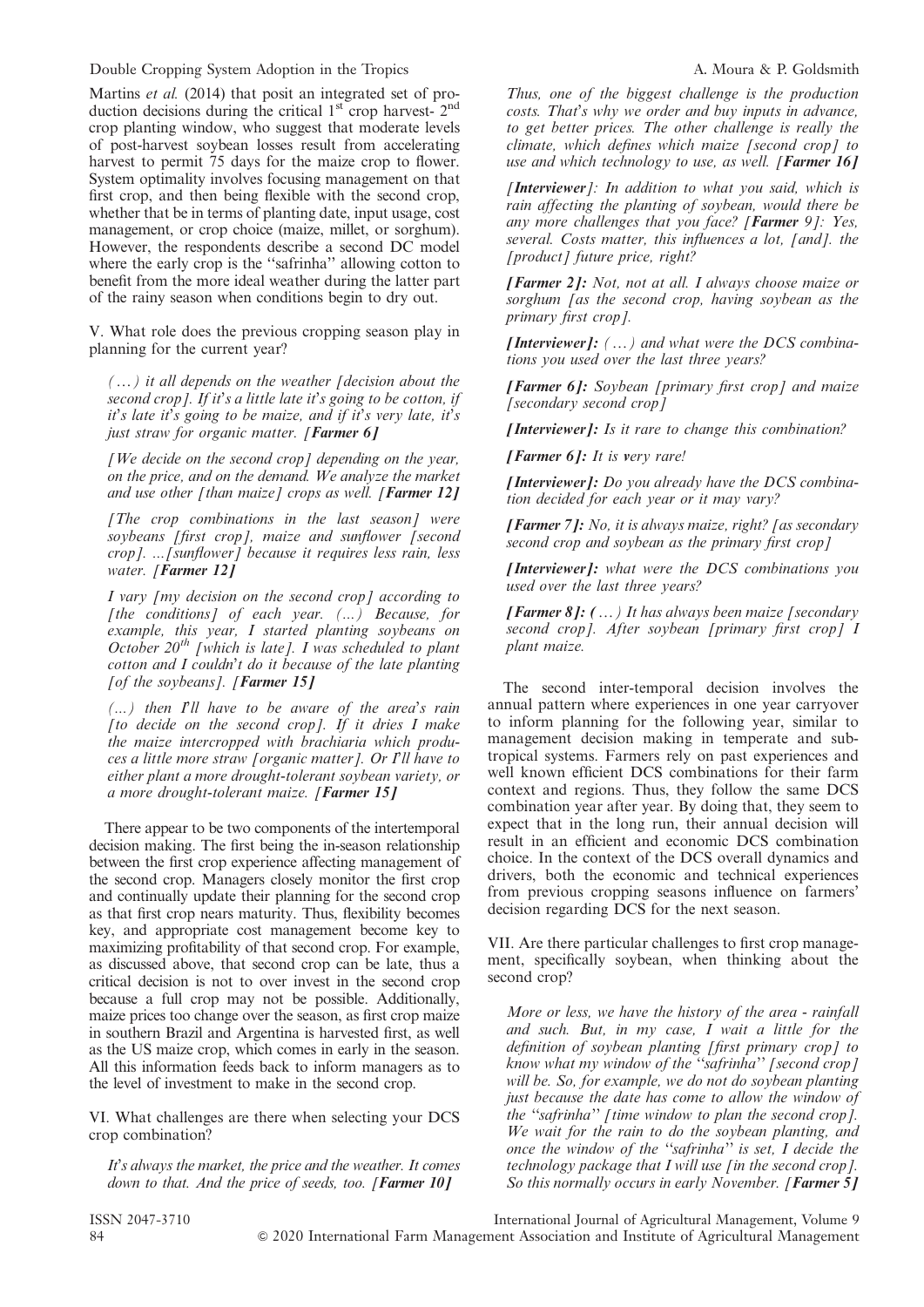Double Cropping System Adoption in the Tropics A. Moura & P. Goldsmith

Martins et al. (2014) that posit an integrated set of production decisions during the critical 1<sup>st</sup> crop harvest- 2<sup>nd</sup> crop planting window, who suggest that moderate levels of post-harvest soybean losses result from accelerating harvest to permit 75 days for the maize crop to flower. System optimality involves focusing management on that first crop, and then being flexible with the second crop, whether that be in terms of planting date, input usage, cost management, or crop choice (maize, millet, or sorghum). However, the respondents describe a second DC model where the early crop is the ''safrinha'' allowing cotton to benefit from the more ideal weather during the latter part of the rainy season when conditions begin to dry out.

V. What role does the previous cropping season play in planning for the current year?

 $(w, y)$  it all depends on the weather [decision about the second crop]. If it's a little late it's going to be cotton, if it's late it's going to be maize, and if it's very late, it's just straw for organic matter. [Farmer 6]

 $[We decide on the second crop] depending on the year,$ on the price, and on the demand. We analyze the market and use other [than maize] crops as well. [**Farmer 12]** 

[The crop combinations in the last season] were soybeans [first crop], maize and sunflower [second crop]. ...[sunflower] because it requires less rain, less water. [**Farmer** 121

I vary [my decision on the second crop] according to [the conditions] of each year.  $(...)$  Because, for example, this year, I started planting soybeans on October  $20^{th}$  [which is late]. I was scheduled to plant cotton and I couldn't do it because of the late planting [of the soybeans]. [Farmer 15]

(...) then I'll have to be aware of the area's rain  $[$ to decide on the second crop]. If it dries I make the maize intercropped with brachiaria which produces a little more straw [organic matter]. Or I'll have to either plant a more drought-tolerant soybean variety, or a more drought-tolerant maize. [Farmer 15]

There appear to be two components of the intertemporal decision making. The first being the in-season relationship between the first crop experience affecting management of the second crop. Managers closely monitor the first crop and continually update their planning for the second crop as that first crop nears maturity. Thus, flexibility becomes key, and appropriate cost management become key to maximizing profitability of that second crop. For example, as discussed above, that second crop can be late, thus a critical decision is not to over invest in the second crop because a full crop may not be possible. Additionally, maize prices too change over the season, as first crop maize in southern Brazil and Argentina is harvested first, as well as the US maize crop, which comes in early in the season. All this information feeds back to inform managers as to the level of investment to make in the second crop.

VI. What challenges are there when selecting your DCS crop combination?

It's always the market, the price and the weather. It comes down to that. And the price of seeds, too. [Farmer 10]

Thus, one of the biggest challenge is the production costs. That's why we order and buy inputs in advance, to get better prices. The other challenge is really the climate, which defines which maize [second crop] to use and which technology to use, as well. [Farmer 16]

[Interviewer]: In addition to what you said, which is rain affecting the planting of soybean, would there be any more challenges that you face? [Farmer 9]: Yes, several. Costs matter, this influences a lot, [and]. the [product] future price, right?

**[Farmer 2]:** Not, not at all. I always choose maize or sorghum [as the second crop, having soybean as the primary first crop].

**[Interviewer]:**  $(\ldots)$  and what were the DCS combinations you used over the last three years?

[Farmer 6]: Soybean [primary first crop] and maize [secondary second crop]

[Interviewer]: Is it rare to change this combination?

[Farmer  $6$ ]: It is very rare!

[Interviewer]: Do you already have the DCS combination decided for each year or it may vary?

**[Farmer 7]:** No, it is always maize, right? [as secondary second crop and soybean as the primary first crop]

[Interviewer]: what were the DCS combinations you used over the last three years?

**[Farmer 8]:**  $(\dots)$  It has always been maize [secondary] second crop]. After soybean [primary first crop] I plant maize.

The second inter-temporal decision involves the annual pattern where experiences in one year carryover to inform planning for the following year, similar to management decision making in temperate and subtropical systems. Farmers rely on past experiences and well known efficient DCS combinations for their farm context and regions. Thus, they follow the same DCS combination year after year. By doing that, they seem to expect that in the long run, their annual decision will result in an efficient and economic DCS combination choice. In the context of the DCS overall dynamics and drivers, both the economic and technical experiences from previous cropping seasons influence on farmers' decision regarding DCS for the next season.

VII. Are there particular challenges to first crop management, specifically soybean, when thinking about the second crop?

More or less, we have the history of the area - rainfall and such. But, in my case, I wait a little for the definition of soybean planting [first primary crop] to know what my window of the ''safrinha'' [second crop] will be. So, for example, we do not do soybean planting just because the date has come to allow the window of the "safrinha" [time window to plan the second crop]. We wait for the rain to do the soybean planting, and once the window of the ''safrinha'' is set, I decide the technology package that I will use [in the second crop]. So this normally occurs in early November. [Farmer 5]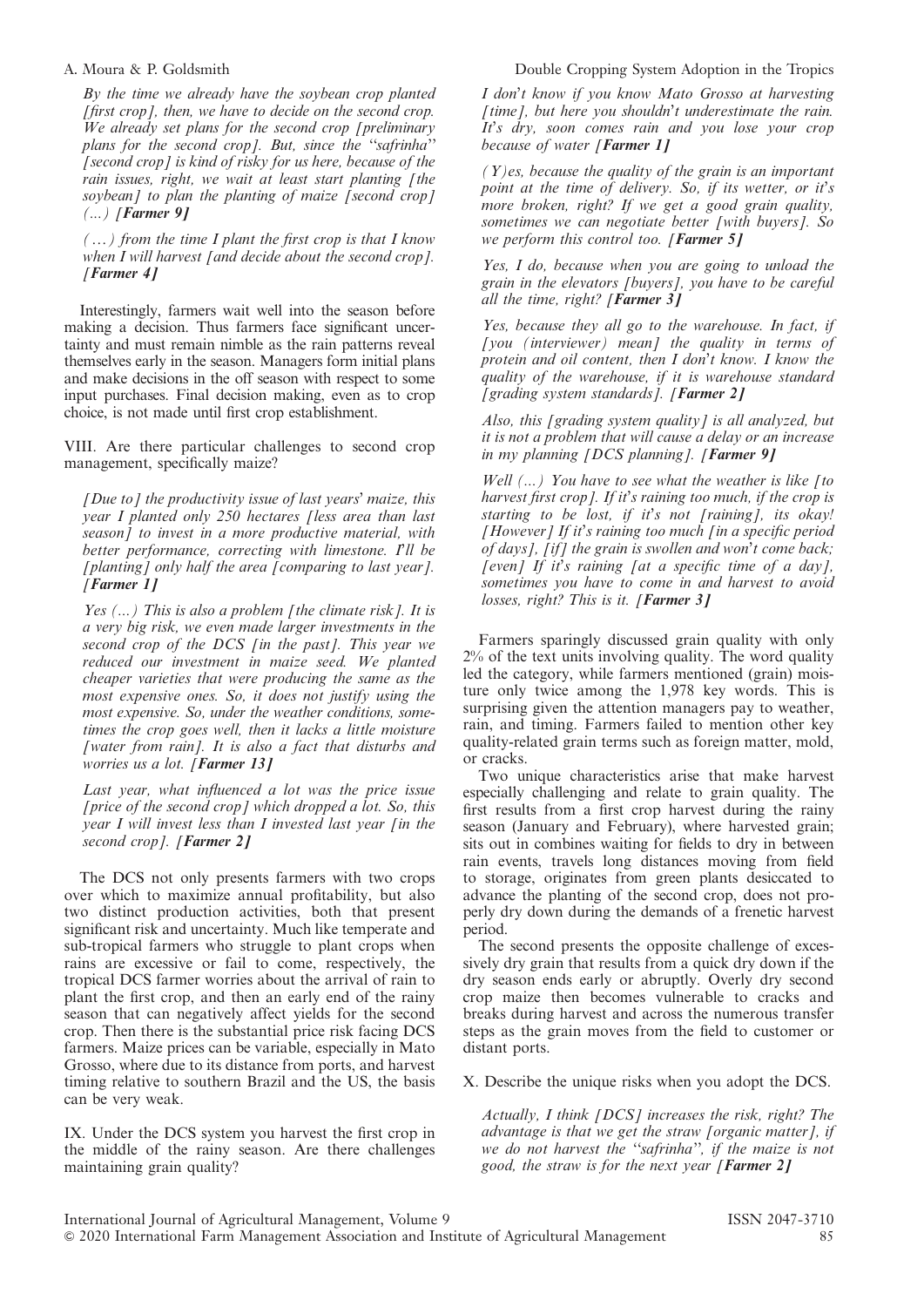By the time we already have the soybean crop planted [first crop], then, we have to decide on the second crop. We already set plans for the second crop [preliminary plans for the second crop]. But, since the "safrinha"  $\int$  [second crop] is kind of risky for us here, because of the rain issues, right, we wait at least start planting [the soybean] to plan the planting of maize [second crop]  $(...)$  [Farmer 9]

 $(x, y)$  from the time I plant the first crop is that I know when I will harvest [and decide about the second crop]. [Farmer 4]

Interestingly, farmers wait well into the season before making a decision. Thus farmers face significant uncertainty and must remain nimble as the rain patterns reveal themselves early in the season. Managers form initial plans and make decisions in the off season with respect to some input purchases. Final decision making, even as to crop choice, is not made until first crop establishment.

VIII. Are there particular challenges to second crop management, specifically maize?

[Due to] the productivity issue of last years' maize, this year I planted only 250 hectares [less area than last season] to invest in a more productive material, with better performance, correcting with limestone. I'll be [planting] only half the area  $\bar{I}$  comparing to last year  $I$ . [Farmer 1]

Yes  $(...)$  This is also a problem [the climate risk]. It is a very big risk, we even made larger investments in the second crop of the DCS [in the past]. This year we reduced our investment in maize seed. We planted cheaper varieties that were producing the same as the most expensive ones. So, it does not justify using the most expensive. So, under the weather conditions, sometimes the crop goes well, then it lacks a little moisture [water from rain]. It is also a fact that disturbs and worries us a lot. [Farmer 13]

Last year, what influenced a lot was the price issue [price of the second crop] which dropped a lot. So, this year I will invest less than I invested last year [in the second crop]. [Farmer 2]

The DCS not only presents farmers with two crops over which to maximize annual profitability, but also two distinct production activities, both that present significant risk and uncertainty. Much like temperate and sub-tropical farmers who struggle to plant crops when rains are excessive or fail to come, respectively, the tropical DCS farmer worries about the arrival of rain to plant the first crop, and then an early end of the rainy season that can negatively affect yields for the second crop. Then there is the substantial price risk facing DCS farmers. Maize prices can be variable, especially in Mato Grosso, where due to its distance from ports, and harvest timing relative to southern Brazil and the US, the basis can be very weak.

IX. Under the DCS system you harvest the first crop in the middle of the rainy season. Are there challenges maintaining grain quality?

## A. Moura & P. Goldsmith Double Cropping System Adoption in the Tropics

I don't know if you know Mato Grosso at harvesting [time], but here you shouldn't underestimate the rain. It's dry, soon comes rain and you lose your crop because of water [Farmer 1]

 $(Y)$ es, because the quality of the grain is an important point at the time of delivery. So, if its wetter, or it's more broken, right? If we get a good grain quality, sometimes we can negotiate better [with buyers]. So we perform this control too. [Farmer  $5$ ]

Yes, I do, because when you are going to unload the grain in the elevators [buyers], you have to be careful all the time, right? [Farmer  $3$ ]

Yes, because they all go to the warehouse. In fact, if  $[you (interviewer) mean]$  the quality in terms of protein and oil content, then I don't know. I know the quality of the warehouse, if it is warehouse standard [grading system standards]. [Farmer 2]

Also, this [grading system quality] is all analyzed, but it is not a problem that will cause a delay or an increase in my planning  $|DCS$  planning]. [Farmer 9]

Well  $(...)$  You have to see what the weather is like [to harvest first crop]. If it's raining too much, if the crop is starting to be lost, if it's not [raining], its okay! [However] If it's raining too much [in a specific period of days], [if] the grain is swollen and won't come back; [even] If it's raining  $[at \ a \ specific \ time \ of \ a \ day]$ , sometimes you have to come in and harvest to avoid losses, right? This is it. [Farmer 3]

Farmers sparingly discussed grain quality with only 2% of the text units involving quality. The word quality led the category, while farmers mentioned (grain) moisture only twice among the 1,978 key words. This is surprising given the attention managers pay to weather, rain, and timing. Farmers failed to mention other key quality-related grain terms such as foreign matter, mold, or cracks.

Two unique characteristics arise that make harvest especially challenging and relate to grain quality. The first results from a first crop harvest during the rainy season (January and February), where harvested grain; sits out in combines waiting for fields to dry in between rain events, travels long distances moving from field to storage, originates from green plants desiccated to advance the planting of the second crop, does not properly dry down during the demands of a frenetic harvest period.

The second presents the opposite challenge of excessively dry grain that results from a quick dry down if the dry season ends early or abruptly. Overly dry second crop maize then becomes vulnerable to cracks and breaks during harvest and across the numerous transfer steps as the grain moves from the field to customer or distant ports.

X. Describe the unique risks when you adopt the DCS.

Actually, I think [DCS] increases the risk, right? The advantage is that we get the straw [organic matter], if we do not harvest the "safrinha", if the maize is not good, the straw is for the next year [**Farmer 2]**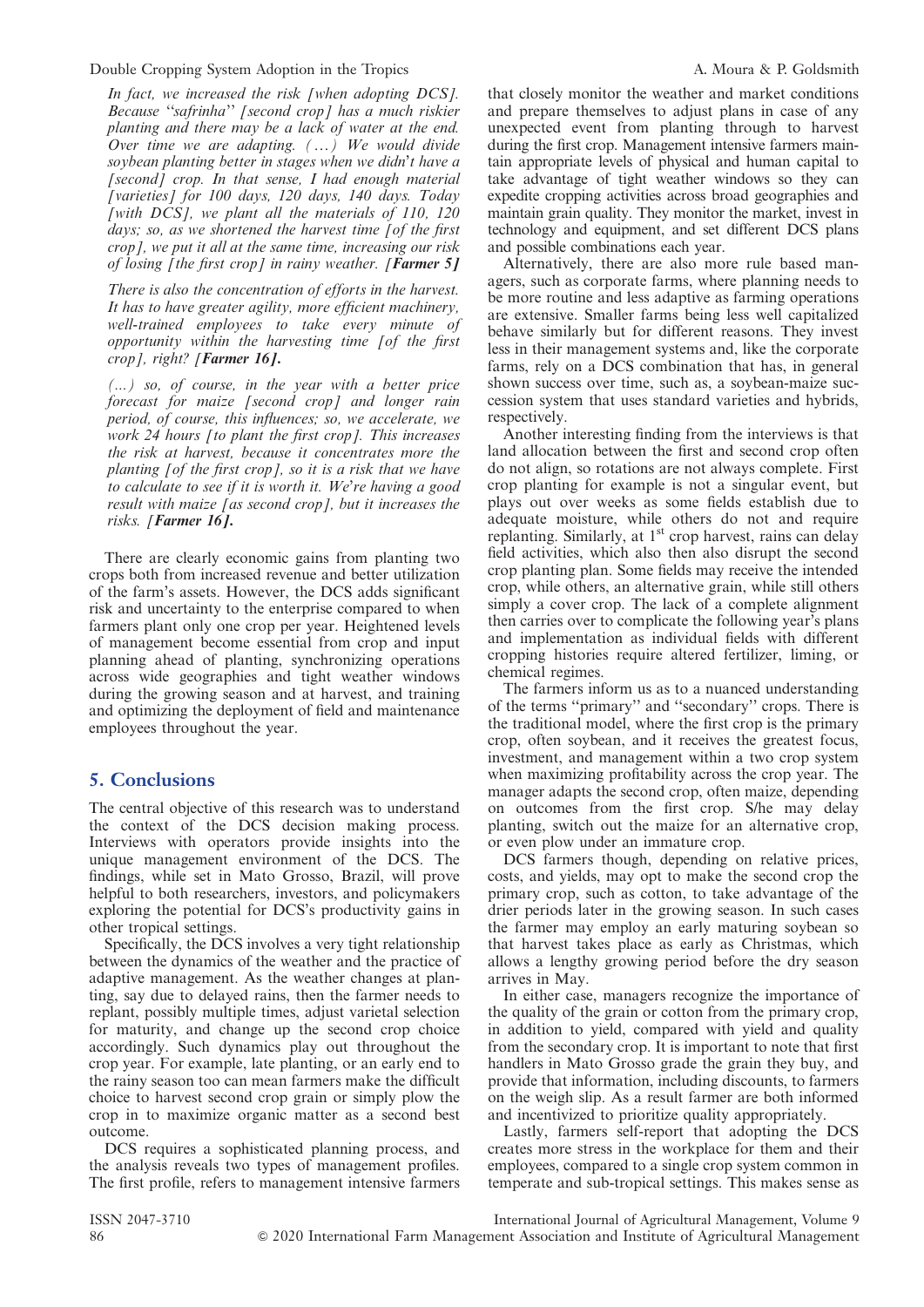Double Cropping System Adoption in the Tropics A. Moura & P. Goldsmith

In fact, we increased the risk [when adopting DCS]. Because ''safrinha'' [second crop] has a much riskier planting and there may be a lack of water at the end. Over time we are adapting.  $(\ldots)$  We would divide soybean planting better in stages when we didn't have a  $[second]$  crop. In that sense, I had enough material [varieties] for 100 days, 120 days, 140 days. Today [with  $DCS$ ], we plant all the materials of 110, 120 days; so, as we shortened the harvest time [of the first crop], we put it all at the same time, increasing our risk of losing [the first crop] in rainy weather. [Farmer 5]

There is also the concentration of efforts in the harvest. It has to have greater agility, more efficient machinery, well-trained employees to take every minute of opportunity within the harvesting time [of the first crop], right? [Farmer 16].

(...) so, of course, in the year with a better price forecast for maize [second crop] and longer rain period, of course, this influences; so, we accelerate, we work 24 hours *[to plant the first crop]*. This increases the risk at harvest, because it concentrates more the planting [of the first crop], so it is a risk that we have to calculate to see if it is worth it. We're having a good result with maize [as second crop], but it increases the risks. [Farmer 16].

There are clearly economic gains from planting two crops both from increased revenue and better utilization of the farm's assets. However, the DCS adds significant risk and uncertainty to the enterprise compared to when farmers plant only one crop per year. Heightened levels of management become essential from crop and input planning ahead of planting, synchronizing operations across wide geographies and tight weather windows during the growing season and at harvest, and training and optimizing the deployment of field and maintenance employees throughout the year.

# 5. Conclusions

The central objective of this research was to understand the context of the DCS decision making process. Interviews with operators provide insights into the unique management environment of the DCS. The findings, while set in Mato Grosso, Brazil, will prove helpful to both researchers, investors, and policymakers exploring the potential for DCS's productivity gains in other tropical settings.

Specifically, the DCS involves a very tight relationship between the dynamics of the weather and the practice of adaptive management. As the weather changes at planting, say due to delayed rains, then the farmer needs to replant, possibly multiple times, adjust varietal selection for maturity, and change up the second crop choice accordingly. Such dynamics play out throughout the crop year. For example, late planting, or an early end to the rainy season too can mean farmers make the difficult choice to harvest second crop grain or simply plow the crop in to maximize organic matter as a second best outcome.

DCS requires a sophisticated planning process, and the analysis reveals two types of management profiles. The first profile, refers to management intensive farmers that closely monitor the weather and market conditions and prepare themselves to adjust plans in case of any unexpected event from planting through to harvest during the first crop. Management intensive farmers maintain appropriate levels of physical and human capital to take advantage of tight weather windows so they can expedite cropping activities across broad geographies and maintain grain quality. They monitor the market, invest in technology and equipment, and set different DCS plans and possible combinations each year.

Alternatively, there are also more rule based managers, such as corporate farms, where planning needs to be more routine and less adaptive as farming operations are extensive. Smaller farms being less well capitalized behave similarly but for different reasons. They invest less in their management systems and, like the corporate farms, rely on a DCS combination that has, in general shown success over time, such as, a soybean-maize succession system that uses standard varieties and hybrids, respectively.

Another interesting finding from the interviews is that land allocation between the first and second crop often do not align, so rotations are not always complete. First crop planting for example is not a singular event, but plays out over weeks as some fields establish due to adequate moisture, while others do not and require replanting. Similarly, at  $1<sup>st</sup>$  crop harvest, rains can delay field activities, which also then also disrupt the second crop planting plan. Some fields may receive the intended crop, while others, an alternative grain, while still others simply a cover crop. The lack of a complete alignment then carries over to complicate the following year's plans and implementation as individual fields with different cropping histories require altered fertilizer, liming, or chemical regimes.

The farmers inform us as to a nuanced understanding of the terms ''primary'' and ''secondary'' crops. There is the traditional model, where the first crop is the primary crop, often soybean, and it receives the greatest focus, investment, and management within a two crop system when maximizing profitability across the crop year. The manager adapts the second crop, often maize, depending on outcomes from the first crop. S/he may delay planting, switch out the maize for an alternative crop, or even plow under an immature crop.

DCS farmers though, depending on relative prices, costs, and yields, may opt to make the second crop the primary crop, such as cotton, to take advantage of the drier periods later in the growing season. In such cases the farmer may employ an early maturing soybean so that harvest takes place as early as Christmas, which allows a lengthy growing period before the dry season arrives in May.

In either case, managers recognize the importance of the quality of the grain or cotton from the primary crop, in addition to yield, compared with yield and quality from the secondary crop. It is important to note that first handlers in Mato Grosso grade the grain they buy, and provide that information, including discounts, to farmers on the weigh slip. As a result farmer are both informed and incentivized to prioritize quality appropriately.

Lastly, farmers self-report that adopting the DCS creates more stress in the workplace for them and their employees, compared to a single crop system common in temperate and sub-tropical settings. This makes sense as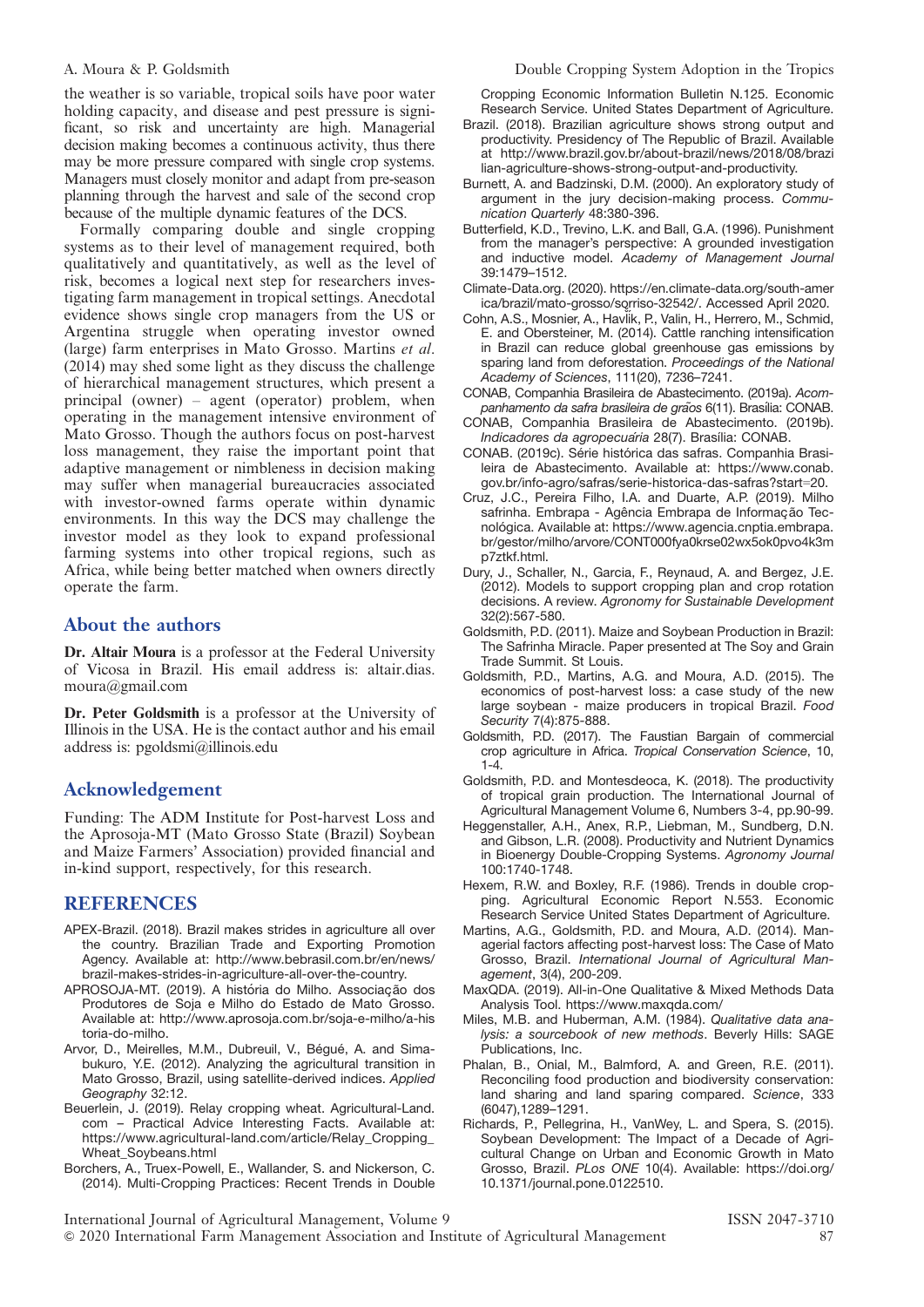the weather is so variable, tropical soils have poor water holding capacity, and disease and pest pressure is significant, so risk and uncertainty are high. Managerial decision making becomes a continuous activity, thus there may be more pressure compared with single crop systems. Managers must closely monitor and adapt from pre-season planning through the harvest and sale of the second crop because of the multiple dynamic features of the DCS.

Formally comparing double and single cropping systems as to their level of management required, both qualitatively and quantitatively, as well as the level of risk, becomes a logical next step for researchers investigating farm management in tropical settings. Anecdotal evidence shows single crop managers from the US or Argentina struggle when operating investor owned (large) farm enterprises in Mato Grosso. Martins et al. (2014) may shed some light as they discuss the challenge of hierarchical management structures, which present a principal (owner) – agent (operator) problem, when operating in the management intensive environment of Mato Grosso. Though the authors focus on post-harvest loss management, they raise the important point that adaptive management or nimbleness in decision making may suffer when managerial bureaucracies associated with investor-owned farms operate within dynamic environments. In this way the DCS may challenge the investor model as they look to expand professional farming systems into other tropical regions, such as Africa, while being better matched when owners directly operate the farm.

# About the authors

Dr. Altair Moura is a professor at the Federal University of Vicosa in Brazil. His email address is: altair.dias. moura@gmail.com

Dr. Peter Goldsmith is a professor at the University of Illinois in the USA. He is the contact author and his email address is: pgoldsmi@illinois.edu

# Acknowledgement

Funding: The ADM Institute for Post-harvest Loss and the Aprosoja-MT (Mato Grosso State (Brazil) Soybean and Maize Farmers' Association) provided financial and in-kind support, respectively, for this research.

# REFERENCES

- APEX-Brazil. (2018). Brazil makes strides in agriculture all over the country. Brazilian Trade and Exporting Promotion Agency. Available at: http://www.bebrasil.com.br/en/news/ brazil-makes-strides-in-agriculture-all-over-the-country.
- APROSOJA-MT. (2019). A história do Milho. Associação dos Produtores de Soja e Milho do Estado de Mato Grosso. Available at: http://www.aprosoja.com.br/soja-e-milho/a-his toria-do-milho.
- Arvor, D., Meirelles, M.M., Dubreuil, V., Bégué, A. and Simabukuro, Y.E. (2012). Analyzing the agricultural transition in Mato Grosso, Brazil, using satellite-derived indices. Applied Geography 32:12.
- Beuerlein, J. (2019). Relay cropping wheat. Agricultural-Land. com – Practical Advice Interesting Facts. Available at: https://www.agricultural-land.com/article/Relay\_Cropping\_ Wheat\_Soybeans.html
- Borchers, A., Truex-Powell, E., Wallander, S. and Nickerson, C. (2014). Multi-Cropping Practices: Recent Trends in Double

#### A. Moura & P. Goldsmith Double Cropping System Adoption in the Tropics

Cropping Economic Information Bulletin N.125. Economic Research Service. United States Department of Agriculture.

- Brazil. (2018). Brazilian agriculture shows strong output and productivity. Presidency of The Republic of Brazil. Available at http://www.brazil.gov.br/about-brazil/news/2018/08/brazi lian-agriculture-shows-strong-output-and-productivity.
- Burnett, A. and Badzinski, D.M. (2000). An exploratory study of argument in the jury decision-making process. Communication Quarterly 48:380-396.
- Butterfield, K.D., Trevino, L.K. and Ball, G.A. (1996). Punishment from the manager's perspective: A grounded investigation and inductive model. Academy of Management Journal 39:1479–1512.
- Climate-Data.org. (2020). https://en.climate-data.org/south-amer ica/brazil/mato-grosso/sorriso-32542/. Accessed April 2020.
- Cohn, A.S., Mosnier, A., HavĬik, P., Valin, H., Herrero, M., Schmid, E. and Obersteiner, M. (2014). Cattle ranching intensification in Brazil can reduce global greenhouse gas emissions by sparing land from deforestation. Proceedings of the National Academy of Sciences, 111(20), 7236–7241.
- CONAB, Companhia Brasileira de Abastecimento. (2019a). Acompanhamento da safra brasileira de grãos 6(11). Brasília: CONAB.
- CONAB, Companhia Brasileira de Abastecimento. (2019b). Indicadores da agropecuaria 28(7). Brasília: CONAB.
- CONAB. (2019c). Série histórica das safras. Companhia Brasileira de Abastecimento. Available at: https://www.conab. gov.br/info-agro/safras/serie-historica-das-safras?start=20.
- Cruz, J.C., Pereira Filho, I.A. and Duarte, A.P. (2019). Milho safrinha. Embrapa - Agência Embrapa de Informação Tecnológica. Available at: https://www.agencia.cnptia.embrapa. br/gestor/milho/arvore/CONT000fya0krse02wx5ok0pvo4k3m p7ztkf.html.
- Dury, J., Schaller, N., Garcia, F., Reynaud, A. and Bergez, J.E. (2012). Models to support cropping plan and crop rotation decisions. A review. Agronomy for Sustainable Development 32(2):567-580.
- Goldsmith, P.D. (2011). Maize and Soybean Production in Brazil: The Safrinha Miracle. Paper presented at The Soy and Grain Trade Summit. St Louis.
- Goldsmith, P.D., Martins, A.G. and Moura, A.D. (2015). The economics of post-harvest loss: a case study of the new large soybean - maize producers in tropical Brazil. Food Security 7(4):875-888.
- Goldsmith, P.D. (2017). The Faustian Bargain of commercial crop agriculture in Africa. Tropical Conservation Science, 10,  $1 - 4$
- Goldsmith, P.D. and Montesdeoca, K. (2018). The productivity of tropical grain production. The International Journal of Agricultural Management Volume 6, Numbers 3-4, pp.90-99.
- Heggenstaller, A.H., Anex, R.P., Liebman, M., Sundberg, D.N. and Gibson, L.R. (2008). Productivity and Nutrient Dynamics in Bioenergy Double-Cropping Systems. Agronomy Journal 100:1740-1748.
- Hexem, R.W. and Boxley, R.F. (1986). Trends in double cropping. Agricultural Economic Report N.553. Economic Research Service United States Department of Agriculture.
- Martins, A.G., Goldsmith, P.D. and Moura, A.D. (2014). Managerial factors affecting post-harvest loss: The Case of Mato Grosso, Brazil. International Journal of Agricultural Management, 3(4), 200-209.
- MaxQDA. (2019). All-in-One Qualitative & Mixed Methods Data Analysis Tool. https://www.maxqda.com/
- Miles, M.B. and Huberman, A.M. (1984). Qualitative data analysis: a sourcebook of new methods. Beverly Hills: SAGE Publications, Inc.
- Phalan, B., Onial, M., Balmford, A. and Green, R.E. (2011). Reconciling food production and biodiversity conservation: land sharing and land sparing compared. Science, 333 (6047),1289–1291.
- Richards, P., Pellegrina, H., VanWey, L. and Spera, S. (2015). Soybean Development: The Impact of a Decade of Agricultural Change on Urban and Economic Growth in Mato Grosso, Brazil. PLos ONE 10(4). Available: https://doi.org/ 10.1371/journal.pone.0122510.

International Journal of Agricultural Management, Volume 9 ISSN 2047-3710 & 2020 International Farm Management Association and Institute of Agricultural Management 87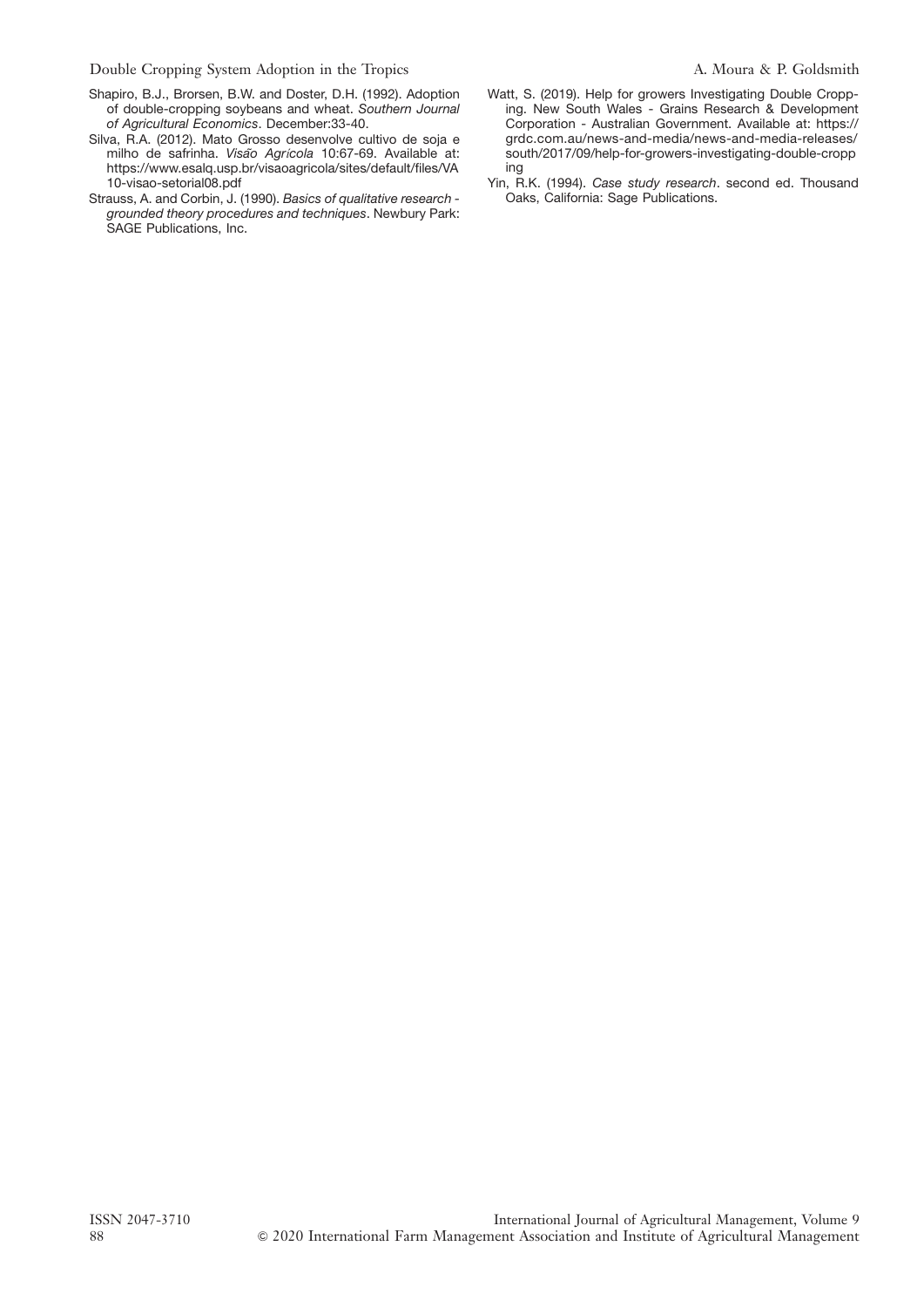Double Cropping System Adoption in the Tropics A. Moura & P. Goldsmith

- Shapiro, B.J., Brorsen, B.W. and Doster, D.H. (1992). Adoption of double-cropping soybeans and wheat. Southern Journal of Agricultural Economics. December:33-40.
- Silva, R.A. (2012). Mato Grosso desenvolve cultivo de soja e milho de safrinha. Visão Agrícola 10:67-69. Available at: https://www.esalq.usp.br/visaoagricola/sites/default/files/VA 10-visao-setorial08.pdf
- Strauss, A. and Corbin, J. (1990). Basics of qualitative research grounded theory procedures and techniques. Newbury Park: SAGE Publications, Inc.
- Watt, S. (2019). Help for growers Investigating Double Cropping. New South Wales - Grains Research & Development Corporation - Australian Government. Available at: https:// grdc.com.au/news-and-media/news-and-media-releases/ south/2017/09/help-for-growers-investigating-double-cropp ing
- Yin, R.K. (1994). Case study research. second ed. Thousand Oaks, California: Sage Publications.